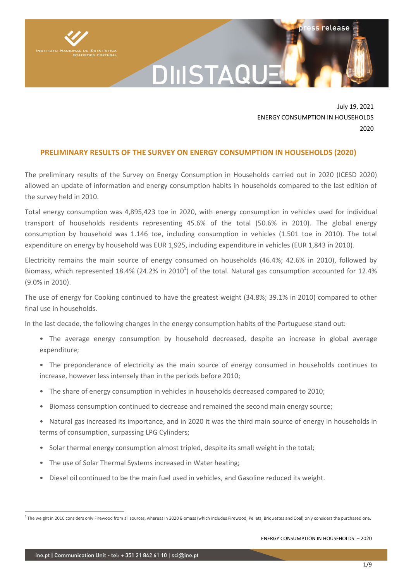

## DIIISTAQU

July 19, 2021 ENERGY CONSUMPTION IN HOUSEHOLDS 2020

ss release

#### **PRELIMINARY RESULTS OF THE SURVEY ON ENERGY CONSUMPTION IN HOUSEHOLDS (2020)**

The preliminary results of the Survey on Energy Consumption in Households carried out in 2020 (ICESD 2020) allowed an update of information and energy consumption habits in households compared to the last edition of the survey held in 2010.

Total energy consumption was 4,895,423 toe in 2020, with energy consumption in vehicles used for individual transport of households residents representing 45.6% of the total (50.6% in 2010). The global energy consumption by household was 1.146 toe, including consumption in vehicles (1.501 toe in 2010). The total expenditure on energy by household was EUR 1,925, including expenditure in vehicles (EUR 1,843 in 2010).

Electricity remains the main source of energy consumed on households (46.4%; 42.6% in 2010), followed by Biomass, which represented 18.4% (24.2% in 2010<sup>1</sup>) of the total. Natural gas consumption accounted for 12.4% (9.0% in 2010).

The use of energy for Cooking continued to have the greatest weight (34.8%; 39.1% in 2010) compared to other final use in households.

In the last decade, the following changes in the energy consumption habits of the Portuguese stand out:

- The average energy consumption by household decreased, despite an increase in global average expenditure;
- The preponderance of electricity as the main source of energy consumed in households continues to increase, however less intensely than in the periods before 2010;
- The share of energy consumption in vehicles in households decreased compared to 2010;
- Biomass consumption continued to decrease and remained the second main energy source;
- Natural gas increased its importance, and in 2020 it was the third main source of energy in households in terms of consumption, surpassing LPG Cylinders;
- Solar thermal energy consumption almost tripled, despite its small weight in the total;
- The use of Solar Thermal Systems increased in Water heating;
- Diesel oil continued to be the main fuel used in vehicles, and Gasoline reduced its weight.

ENERGY CONSUMPTION IN HOUSEHOLDS – 2020

<sup>-</sup><sup>1</sup> The weight in 2010 considers only Firewood from all sources, whereas in 2020 Biomass (which includes Firewood, Pellets, Briquettes and Coal) only considers the purchased one.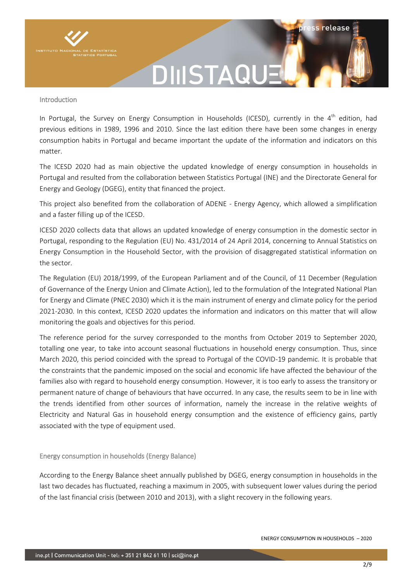

### **DIIISTAQU**

#### Introduction

In Portugal, the Survey on Energy Consumption in Households (ICESD), currently in the  $4^{th}$  edition. had previous editions in 1989, 1996 and 2010. Since the last edition there have been some changes in energy consumption habits in Portugal and became important the update of the information and indicators on this matter.

The ICESD 2020 had as main objective the updated knowledge of energy consumption in households in Portugal and resulted from the collaboration between Statistics Portugal (INE) and the Directorate General for Energy and Geology (DGEG), entity that financed the project.

This project also benefited from the collaboration of ADENE - Energy Agency, which allowed a simplification and a faster filling up of the ICESD.

ICESD 2020 collects data that allows an updated knowledge of energy consumption in the domestic sector in Portugal, responding to the Regulation (EU) No. 431/2014 of 24 April 2014, concerning to Annual Statistics on Energy Consumption in the Household Sector, with the provision of disaggregated statistical information on the sector.

The Regulation (EU) 2018/1999, of the European Parliament and of the Council, of 11 December (Regulation of Governance of the Energy Union and Climate Action), led to the formulation of the Integrated National Plan for Energy and Climate (PNEC 2030) which it is the main instrument of energy and climate policy for the period 2021-2030. In this context, ICESD 2020 updates the information and indicators on this matter that will allow monitoring the goals and objectives for this period.

The reference period for the survey corresponded to the months from October 2019 to September 2020, totalling one year, to take into account seasonal fluctuations in household energy consumption. Thus, since March 2020, this period coincided with the spread to Portugal of the COVID-19 pandemic. It is probable that the constraints that the pandemic imposed on the social and economic life have affected the behaviour of the families also with regard to household energy consumption. However, it is too early to assess the transitory or permanent nature of change of behaviours that have occurred. In any case, the results seem to be in line with the trends identified from other sources of information, namely the increase in the relative weights of Electricity and Natural Gas in household energy consumption and the existence of efficiency gains, partly associated with the type of equipment used.

#### Energy consumption in households (Energy Balance)

According to the Energy Balance sheet annually published by DGEG, energy consumption in households in the last two decades has fluctuated, reaching a maximum in 2005, with subsequent lower values during the period of the last financial crisis (between 2010 and 2013), with a slight recovery in the following years.

ss release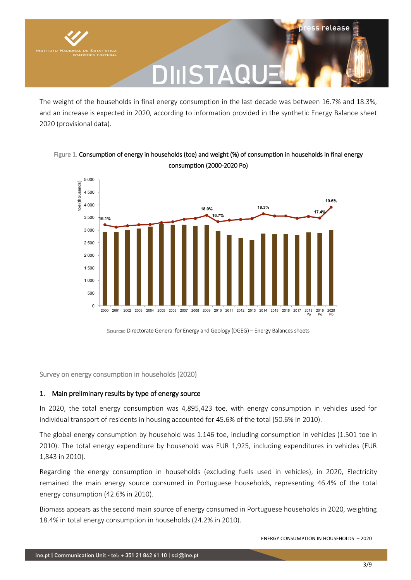

The weight of the households in final energy consumption in the last decade was between 16.7% and 18.3%, and an increase is expected in 2020, according to information provided in the synthetic Energy Balance sheet 2020 (provisional data).





Source: Directorate General for Energy and Geology (DGEG) – Energy Balances sheets

Survey on energy consumption in households (2020)

#### 1. Main preliminary results by type of energy source

In 2020, the total energy consumption was 4,895,423 toe, with energy consumption in vehicles used for individual transport of residents in housing accounted for 45.6% of the total (50.6% in 2010).

The global energy consumption by household was 1.146 toe, including consumption in vehicles (1.501 toe in 2010). The total energy expenditure by household was EUR 1,925, including expenditures in vehicles (EUR 1,843 in 2010).

Regarding the energy consumption in households (excluding fuels used in vehicles), in 2020, Electricity remained the main energy source consumed in Portuguese households, representing 46.4% of the total energy consumption (42.6% in 2010).

Biomass appears as the second main source of energy consumed in Portuguese households in 2020, weighting 18.4% in total energy consumption in households (24.2% in 2010).

ENERGY CONSUMPTION IN HOUSEHOLDS – 2020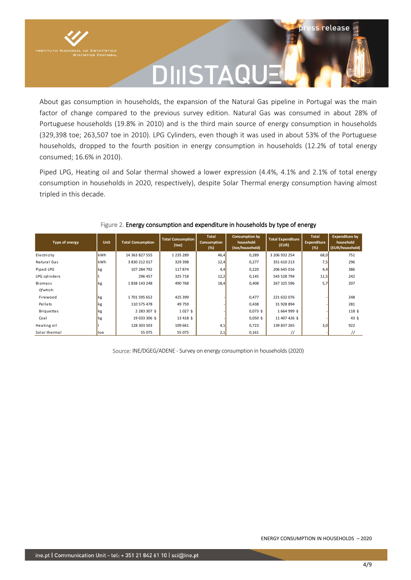

# DIIISTAQl

ss release

About gas consumption in households, the expansion of the Natural Gas pipeline in Portugal was the main factor of change compared to the previous survey edition. Natural Gas was consumed in about 28% of Portuguese households (19.8% in 2010) and is the third main source of energy consumption in households (329,398 toe; 263,507 toe in 2010). LPG Cylinders, even though it was used in about 53% of the Portuguese households, dropped to the fourth position in energy consumption in households (12.2% of total energy consumed; 16.6% in 2010).

Piped LPG, Heating oil and Solar thermal showed a lower expression (4.4%, 4.1% and 2.1% of total energy consumption in households in 2020, respectively), despite Solar Thermal energy consumption having almost tripled in this decade.

| Type of energy    | Unit | <b>Total Consumption</b> | <b>Total Consumption</b><br>(toe) | <b>Total</b><br>Consumption<br>(%) | Consumption by<br>household<br>(toe/household) | <b>Total Expenditure</b><br>(EUR) | <b>Total</b><br><b>Expenditure</b><br>(%) | <b>Expenditure by</b><br>household<br>(EUR/household) |
|-------------------|------|--------------------------|-----------------------------------|------------------------------------|------------------------------------------------|-----------------------------------|-------------------------------------------|-------------------------------------------------------|
| Electricity       | kWh  | 14 363 827 555           | 1 2 3 5 2 8 9                     | 46,4                               | 0,289                                          | 3 206 932 254                     | 68,0                                      | 751                                                   |
| Natural Gas       | kWh  | 3 830 212 017            | 329 398                           | 12,4                               | 0,277                                          | 351 610 213                       | 7,5                                       | 296                                                   |
| Piped LPG         | kg   | 107 284 792              | 117874                            | 4,4                                | 0,220                                          | 206 645 016                       | 4,4                                       | 386                                                   |
| LPG cylinders     |      | 296 457                  | 325 718                           | 12,2                               | 0,145                                          | 543 528 794                       | 11,5                                      | 242                                                   |
| <b>Biomass</b>    | kg   | 1838 143 248             | 490 768                           | 18,4                               | 0,408                                          | 267 325 596                       | 5,7                                       | 207                                                   |
| Of which:         |      |                          |                                   |                                    |                                                |                                   |                                           |                                                       |
| Firewood          | kg   | 1701 595 652             | 425 399                           |                                    | 0,477                                          | 221 632 076                       |                                           | 248                                                   |
| Pellets           | kg   | 110 575 478              | 49 759                            |                                    | 0,438                                          | 31 928 894                        |                                           | 281                                                   |
| <b>Briguettes</b> | kg   | 2 2 8 3 3 0 7 4          | 1027 <sub>5</sub>                 |                                    | $0,073$ §                                      | 1 664 999 §                       |                                           | 118 <sub>5</sub>                                      |
| Coal              | kg   | 19 033 306 §             | 13 4 18 5                         |                                    | $0,050$ §                                      | 11 407 426 §                      |                                           | $43\frac{6}{7}$                                       |
| Heating oil       |      | 128 303 503              | 109 661                           | 4,1                                | 0,723                                          | 139 837 265                       | 3,0                                       | 922                                                   |
| Solar thermal     | toe  | 55 075                   | 55 075                            | 2,1                                | 0,161                                          | $\prime\prime$                    |                                           | $\prime$                                              |

#### Figure 2. Energy consumption and expenditure in households by type of energy

Source: INE/DGEG/ADENE - Survey on energy consumption in households (2020)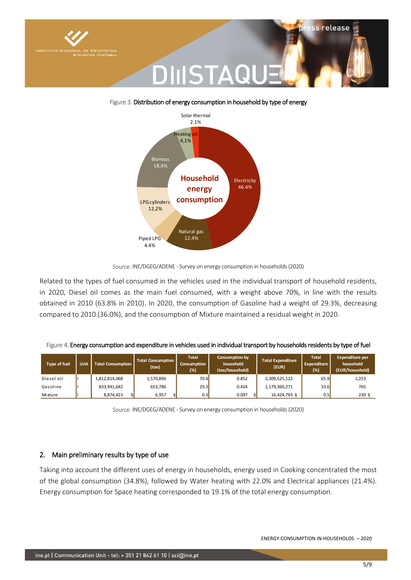



#### Figure 3. Distribution of energy consumption in household by type of energy

Related to the types of fuel consumed in the vehicles used in the individual transport of household residents, in 2020, Diesel oil comes as the main fuel consumed, with a weight above 70%, in line with the results obtained in 2010 (63.8% in 2010). In 2020, the consumption of Gasoline had a weight of 29.3%, decreasing compared to 2010 (36.0%), and the consumption of Mixture maintained a residual weight in 2020.

|  |  |  | Figure 4. Energy consumption and expenditure in vehicles used in individual transport by households residents by type of fuel |
|--|--|--|-------------------------------------------------------------------------------------------------------------------------------|
|  |  |  |                                                                                                                               |

| <b>Type of fuel</b> | <b>Unit</b> | Total Consumption | <b>Total Consumption</b><br>(toe) | <b>Total</b><br>Consumption<br>(%) | <b>Consumption by</b><br>household<br>(toe/household) | <b>Total Expenditure</b><br>(EUR) | <b>Total</b><br>Expenditure<br>(%) | <b>Expenditure per</b><br>household<br>(EUR/household) |
|---------------------|-------------|-------------------|-----------------------------------|------------------------------------|-------------------------------------------------------|-----------------------------------|------------------------------------|--------------------------------------------------------|
| Diesel oil          |             | 1,812,814,068     | 1,570,896                         | 70.4                               | 0.852                                                 | 2,309,525,122                     | 65.9                               | 1,253                                                  |
| Gasoline            |             | 833,941,642       | 653,786                           | 29.3                               | 0.424                                                 | 1,179,360,271                     | 33.6                               | 765                                                    |
| Mixture             |             | 8,874,423<br>ଧ    | 6,957<br>ଧ                        | 0.3                                | 0.097<br>Ò                                            | 16,424,783 §                      | 0.5                                | 230 <sub>5</sub>                                       |

Source: INE/DGEG/ADENE - Survey on energy consumption in households (2020)

#### 2. Main preliminary results by type of use

Taking into account the different uses of energy in households, energy used in Cooking concentrated the most of the global consumption (34.8%), followed by Water heating with 22.0% and Electrical appliances (21.4%). Energy consumption for Space heating corresponded to 19.1% of the total energy consumption.

Source: INE/DGEG/ADENE - Survey on energy consumption in households (2020)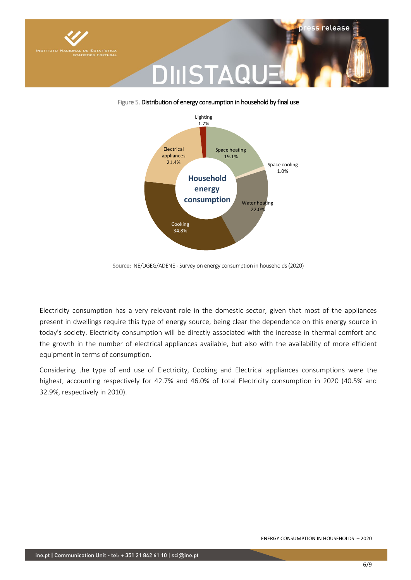

#### Figure 5. Distribution of energy consumption in household by final use



Source: INE/DGEG/ADENE - Survey on energy consumption in households (2020)

Electricity consumption has a very relevant role in the domestic sector, given that most of the appliances present in dwellings require this type of energy source, being clear the dependence on this energy source in today's society. Electricity consumption will be directly associated with the increase in thermal comfort and the growth in the number of electrical appliances available, but also with the availability of more efficient equipment in terms of consumption.

Considering the type of end use of Electricity, Cooking and Electrical appliances consumptions were the highest, accounting respectively for 42.7% and 46.0% of total Electricity consumption in 2020 (40.5% and 32.9%, respectively in 2010).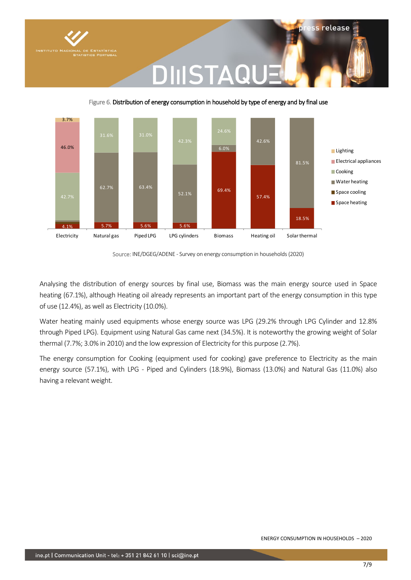

#### 4.1% 5.7% 5.6% 5.6% 69.4% 57.4% 18.5% 62.7% 63.4% 52.1% 42.6% 81.5% 42.7% 31.6% 31.0%  $24.6$ 46.0% 3.7% Electricity Natural gas Piped LPG LPG cylinders Biomass Heating oil Solar thermal **Lighting** Electrical appliances **Cooking** Water heating Space cooling Space heating

Figure 6. Distribution of energy consumption in household by type of energy and by final use

DIIISTAQI

Source: INE/DGEG/ADENE - Survey on energy consumption in households (2020)

Analysing the distribution of energy sources by final use, Biomass was the main energy source used in Space heating (67.1%), although Heating oil already represents an important part of the energy consumption in this type of use (12.4%), as well as Electricity (10.0%).

Water heating mainly used equipments whose energy source was LPG (29.2% through LPG Cylinder and 12.8% through Piped LPG). Equipment using Natural Gas came next (34.5%). It is noteworthy the growing weight of Solar thermal (7.7%; 3.0% in 2010) and the low expression of Electricity for this purpose (2.7%).

The energy consumption for Cooking (equipment used for cooking) gave preference to Electricity as the main energy source (57.1%), with LPG - Piped and Cylinders (18.9%), Biomass (13.0%) and Natural Gas (11.0%) also having a relevant weight.

**iss release**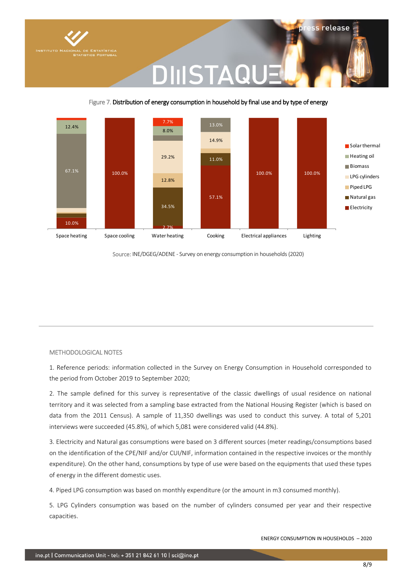

### DIIISTAQI

#### Figure 7. Distribution of energy consumption in household by final use and by type of energy



Source: INE/DGEG/ADENE - Survey on energy consumption in households (2020)

#### METHODOLOGICAL NOTES

1. Reference periods: information collected in the Survey on Energy Consumption in Household corresponded to the period from October 2019 to September 2020;

2. The sample defined for this survey is representative of the classic dwellings of usual residence on national territory and it was selected from a sampling base extracted from the National Housing Register (which is based on data from the 2011 Census). A sample of 11,350 dwellings was used to conduct this survey. A total of 5,201 interviews were succeeded (45.8%), of which 5,081 were considered valid (44.8%).

3. Electricity and Natural gas consumptions were based on 3 different sources (meter readings/consumptions based on the identification of the CPE/NIF and/or CUI/NIF, information contained in the respective invoices or the monthly expenditure). On the other hand, consumptions by type of use were based on the equipments that used these types of energy in the different domestic uses.

4. Piped LPG consumption was based on monthly expenditure (or the amount in m3 consumed monthly).

5. LPG Cylinders consumption was based on the number of cylinders consumed per year and their respective capacities.

ENERGY CONSUMPTION IN HOUSEHOLDS – 2020

ess release